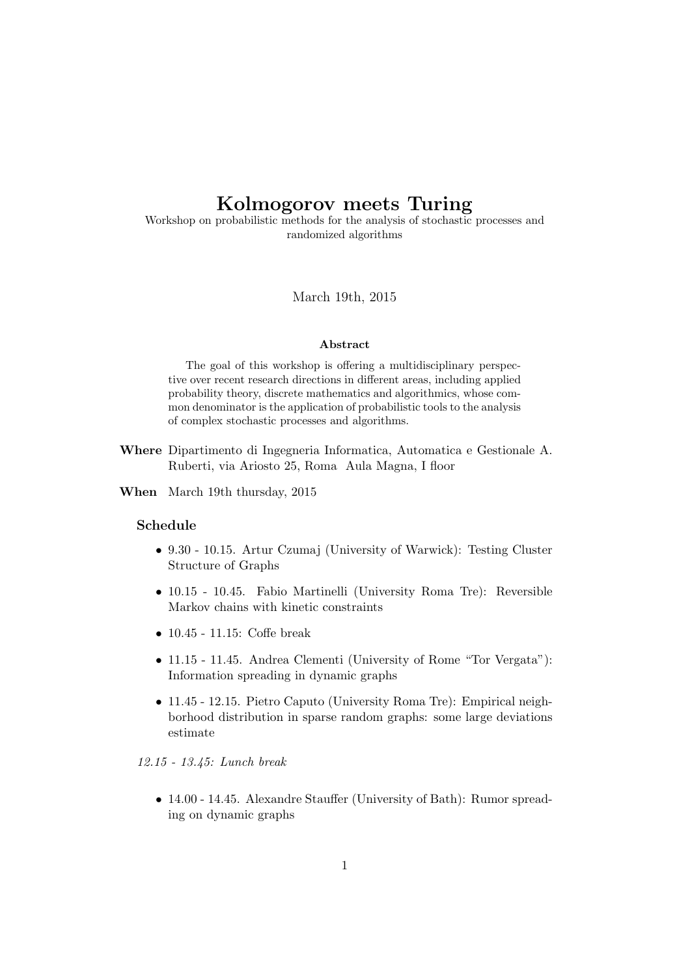# Kolmogorov meets Turing

Workshop on probabilistic methods for the analysis of stochastic processes and randomized algorithms

March 19th, 2015

### Abstract

The goal of this workshop is offering a multidisciplinary perspective over recent research directions in different areas, including applied probability theory, discrete mathematics and algorithmics, whose common denominator is the application of probabilistic tools to the analysis of complex stochastic processes and algorithms.

- Where Dipartimento di Ingegneria Informatica, Automatica e Gestionale A. Ruberti, via Ariosto 25, Roma Aula Magna, I floor
- When March 19th thursday, 2015

## Schedule

- 9.30 10.15. Artur Czumaj (University of Warwick): Testing Cluster Structure of Graphs
- 10.15 10.45. Fabio Martinelli (University Roma Tre): Reversible Markov chains with kinetic constraints
- 10.45 11.15: Coffe break
- 11.15 11.45. Andrea Clementi (University of Rome "Tor Vergata"): Information spreading in dynamic graphs
- 11.45 12.15. Pietro Caputo (University Roma Tre): Empirical neighborhood distribution in sparse random graphs: some large deviations estimate

*12.15 - 13.45: Lunch break*

• 14.00 - 14.45. Alexandre Stauffer (University of Bath): Rumor spreading on dynamic graphs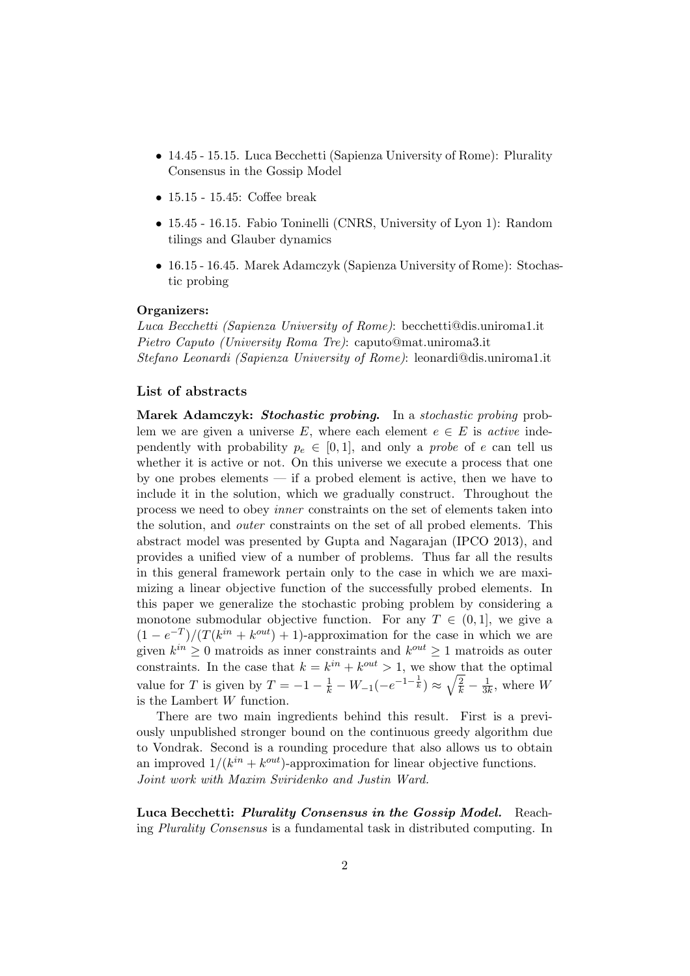- 14.45 15.15. Luca Becchetti (Sapienza University of Rome): Plurality Consensus in the Gossip Model
- 15.15 15.45: Coffee break
- 15.45 16.15. Fabio Toninelli (CNRS, University of Lyon 1): Random tilings and Glauber dynamics
- 16.15 16.45. Marek Adamczyk (Sapienza University of Rome): Stochastic probing

#### Organizers:

*Luca Becchetti (Sapienza University of Rome)*: becchetti@dis.uniroma1.it *Pietro Caputo (University Roma Tre)*: caputo@mat.uniroma3.it *Stefano Leonardi (Sapienza University of Rome)*: leonardi@dis.uniroma1.it

## List of abstracts

Marek Adamczyk: *Stochastic probing*. In a *stochastic probing* problem we are given a universe E, where each element  $e \in E$  is *active* independently with probability  $p_e \in [0, 1]$ , and only a *probe* of e can tell us whether it is active or not. On this universe we execute a process that one by one probes elements — if a probed element is active, then we have to include it in the solution, which we gradually construct. Throughout the process we need to obey *inner* constraints on the set of elements taken into the solution, and *outer* constraints on the set of all probed elements. This abstract model was presented by Gupta and Nagarajan (IPCO 2013), and provides a unified view of a number of problems. Thus far all the results in this general framework pertain only to the case in which we are maximizing a linear objective function of the successfully probed elements. In this paper we generalize the stochastic probing problem by considering a monotone submodular objective function. For any  $T \in (0,1]$ , we give a  $(1 - e^{-T})/(T(k^{in} + k^{out}) + 1)$ -approximation for the case in which we are given  $k^{in} \geq 0$  matroids as inner constraints and  $k^{out} \geq 1$  matroids as outer constraints. In the case that  $k = k^{in} + k^{out} > 1$ , we show that the optimal value for T is given by  $T = -1 - \frac{1}{k} - W_{-1}(-e^{-1-\frac{1}{k}}) \approx \sqrt{\frac{2}{k}} - \frac{1}{3k}$ , where W is the Lambert W function.

There are two main ingredients behind this result. First is a previously unpublished stronger bound on the continuous greedy algorithm due to Vondrak. Second is a rounding procedure that also allows us to obtain an improved  $1/(k^{in} + k^{out})$ -approximation for linear objective functions. *Joint work with Maxim Sviridenko and Justin Ward.*

Luca Becchetti: *Plurality Consensus in the Gossip Model.* Reaching *Plurality Consensus* is a fundamental task in distributed computing. In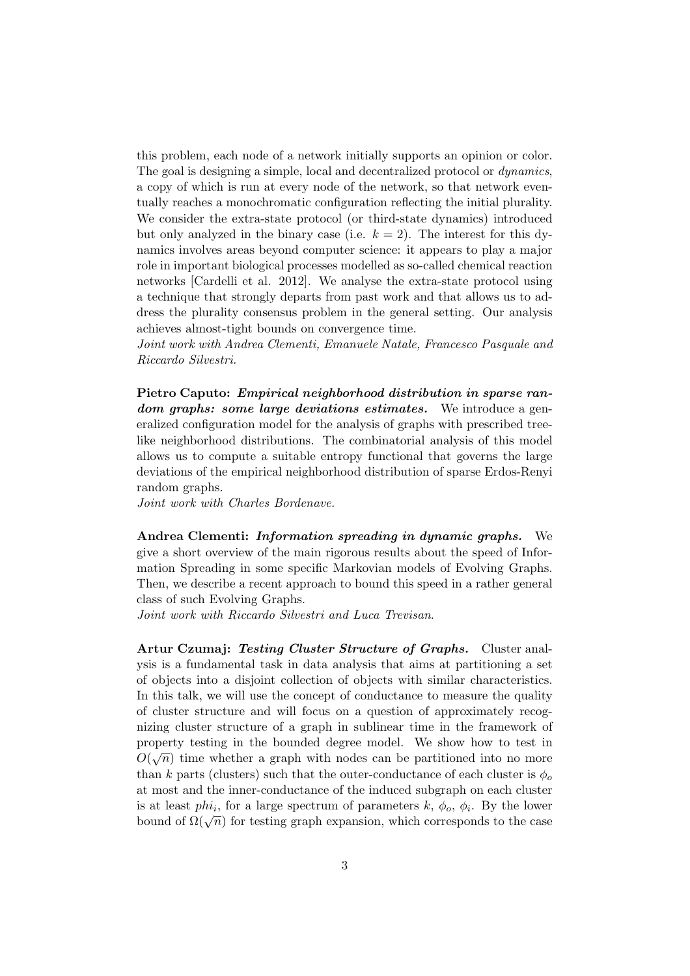this problem, each node of a network initially supports an opinion or color. The goal is designing a simple, local and decentralized protocol or *dynamics*, a copy of which is run at every node of the network, so that network eventually reaches a monochromatic configuration reflecting the initial plurality. We consider the extra-state protocol (or third-state dynamics) introduced but only analyzed in the binary case (i.e.  $k = 2$ ). The interest for this dynamics involves areas beyond computer science: it appears to play a major role in important biological processes modelled as so-called chemical reaction networks [Cardelli et al. 2012]. We analyse the extra-state protocol using a technique that strongly departs from past work and that allows us to address the plurality consensus problem in the general setting. Our analysis achieves almost-tight bounds on convergence time.

*Joint work with Andrea Clementi, Emanuele Natale, Francesco Pasquale and Riccardo Silvestri.*

Pietro Caputo: *Empirical neighborhood distribution in sparse random graphs: some large deviations estimates.* We introduce a generalized configuration model for the analysis of graphs with prescribed treelike neighborhood distributions. The combinatorial analysis of this model allows us to compute a suitable entropy functional that governs the large deviations of the empirical neighborhood distribution of sparse Erdos-Renyi random graphs.

*Joint work with Charles Bordenave.*

Andrea Clementi: *Information spreading in dynamic graphs.* We give a short overview of the main rigorous results about the speed of Information Spreading in some specific Markovian models of Evolving Graphs. Then, we describe a recent approach to bound this speed in a rather general class of such Evolving Graphs.

*Joint work with Riccardo Silvestri and Luca Trevisan*.

Artur Czumaj: *Testing Cluster Structure of Graphs.* Cluster analysis is a fundamental task in data analysis that aims at partitioning a set of objects into a disjoint collection of objects with similar characteristics. In this talk, we will use the concept of conductance to measure the quality of cluster structure and will focus on a question of approximately recognizing cluster structure of a graph in sublinear time in the framework of property testing in the bounded degree model. We show how to test in  $O(\sqrt{n})$  time whether a graph with nodes can be partitioned into no more than k parts (clusters) such that the outer-conductance of each cluster is  $\phi_o$ at most and the inner-conductance of the induced subgraph on each cluster is at least  $phi_i$ , for a large spectrum of parameters  $k, \phi_o, \phi_i$ . By the lower bound of  $\Omega(\sqrt{n})$  for testing graph expansion, which corresponds to the case